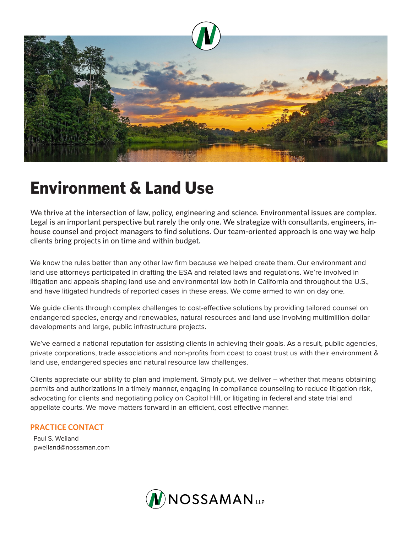

## **Environment & Land Use**

We thrive at the intersection of law, policy, engineering and science. Environmental issues are complex. Legal is an important perspective but rarely the only one. We strategize with consultants, engineers, inhouse counsel and project managers to find solutions. Our team-oriented approach is one way we help clients bring projects in on time and within budget.

We know the rules better than any other law firm because we helped create them. Our environment and land use attorneys participated in drafting the ESA and related laws and regulations. We're involved in litigation and appeals shaping land use and environmental law both in California and throughout the U.S., and have litigated hundreds of reported cases in these areas. We come armed to win on day one.

We quide clients through complex challenges to cost-effective solutions by providing tailored counsel on endangered species, energy and renewables, natural resources and land use involving multimillion-dollar developments and large, public infrastructure projects.

We've earned a national reputation for assisting clients in achieving their goals. As a result, public agencies, private corporations, trade associations and non-profits from coast to coast trust us with their environment & land use, endangered species and natural resource law challenges.

Clients appreciate our ability to plan and implement. Simply put, we deliver – whether that means obtaining permits and authorizations in a timely manner, engaging in compliance counseling to reduce litigation risk, advocating for clients and negotiating policy on Capitol Hill, or litigating in federal and state trial and appellate courts. We move matters forward in an efficient, cost effective manner.

## **PRACTICE CONTACT**

Paul S. Weiland pweiland@nossaman.com